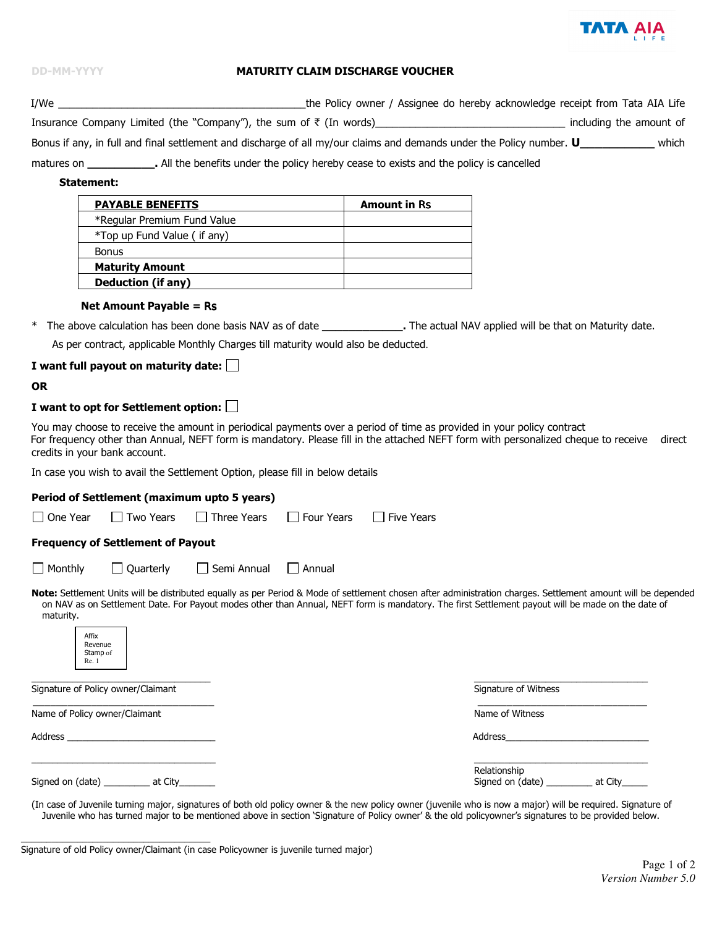

| <b>DD-MM-YYYY</b>                                                                                                                                                                                                                                                                                                                                                        | <b>MATURITY CLAIM DISCHARGE VOUCHER</b> |                                     |  |  |
|--------------------------------------------------------------------------------------------------------------------------------------------------------------------------------------------------------------------------------------------------------------------------------------------------------------------------------------------------------------------------|-----------------------------------------|-------------------------------------|--|--|
|                                                                                                                                                                                                                                                                                                                                                                          |                                         |                                     |  |  |
| Insurance Company Limited (the "Company"), the sum of ₹ (In words)__________________________________ including the amount of                                                                                                                                                                                                                                             |                                         |                                     |  |  |
| Bonus if any, in full and final settlement and discharge of all my/our claims and demands under the Policy number. U______________ which                                                                                                                                                                                                                                 |                                         |                                     |  |  |
| matures on ________________. All the benefits under the policy hereby cease to exists and the policy is cancelled                                                                                                                                                                                                                                                        |                                         |                                     |  |  |
|                                                                                                                                                                                                                                                                                                                                                                          |                                         |                                     |  |  |
| Statement:                                                                                                                                                                                                                                                                                                                                                               |                                         |                                     |  |  |
| <b>PAYABLE BENEFITS</b>                                                                                                                                                                                                                                                                                                                                                  |                                         | <b>Amount in Rs</b>                 |  |  |
| *Regular Premium Fund Value                                                                                                                                                                                                                                                                                                                                              |                                         |                                     |  |  |
| *Top up Fund Value (if any)                                                                                                                                                                                                                                                                                                                                              |                                         |                                     |  |  |
| <b>Bonus</b>                                                                                                                                                                                                                                                                                                                                                             |                                         |                                     |  |  |
| Maturity Amount <b>Access 19 Amount</b>                                                                                                                                                                                                                                                                                                                                  |                                         |                                     |  |  |
| <b>Deduction (if any)</b>                                                                                                                                                                                                                                                                                                                                                |                                         |                                     |  |  |
| <b>Net Amount Payable = Rs</b>                                                                                                                                                                                                                                                                                                                                           |                                         |                                     |  |  |
| * The above calculation has been done basis NAV as of date _________________. The actual NAV applied will be that on Maturity date.                                                                                                                                                                                                                                      |                                         |                                     |  |  |
|                                                                                                                                                                                                                                                                                                                                                                          |                                         |                                     |  |  |
| As per contract, applicable Monthly Charges till maturity would also be deducted.                                                                                                                                                                                                                                                                                        |                                         |                                     |  |  |
| I want full payout on maturity date: $\Box$                                                                                                                                                                                                                                                                                                                              |                                         |                                     |  |  |
| <b>OR</b>                                                                                                                                                                                                                                                                                                                                                                |                                         |                                     |  |  |
| I want to opt for Settlement option: $\Box$                                                                                                                                                                                                                                                                                                                              |                                         |                                     |  |  |
| You may choose to receive the amount in periodical payments over a period of time as provided in your policy contract<br>For frequency other than Annual, NEFT form is mandatory. Please fill in the attached NEFT form with personalized cheque to receive direct<br>credits in your bank account.                                                                      |                                         |                                     |  |  |
| In case you wish to avail the Settlement Option, please fill in below details                                                                                                                                                                                                                                                                                            |                                         |                                     |  |  |
| Period of Settlement (maximum upto 5 years)                                                                                                                                                                                                                                                                                                                              |                                         |                                     |  |  |
| $\Box$ One Year<br>$\Box$ Two Years $\Box$ Three Years                                                                                                                                                                                                                                                                                                                   |                                         | $\Box$ Four Years $\Box$ Five Years |  |  |
| <b>Frequency of Settlement of Payout</b>                                                                                                                                                                                                                                                                                                                                 |                                         |                                     |  |  |
| $\Box$ Monthly<br>$\Box$ Quarterly                                                                                                                                                                                                                                                                                                                                       | $\Box$ Semi Annual<br>$\Box$ Annual     |                                     |  |  |
| Note: Settlement Units will be distributed equally as per Period & Mode of settlement chosen after administration charges. Settlement amount will be depended<br>on NAV as on Settlement Date. For Payout modes other than Annual, NEFT form is mandatory. The first Settlement payout will be made on the date of<br>maturity.<br>Affix<br>Revenue<br>Stamp of<br>Re. 1 |                                         |                                     |  |  |

Signature of Policy owner/Claimant

Name of Policy owner/Claimant

Address\_

Signed on (date) \_\_\_\_\_\_\_\_\_ at City\_\_\_\_

Signature of Witness

Name of Witness

Address

| Relationship     |         |
|------------------|---------|
| Signed on (date) | at City |

(In case of Juvenile turning major, signatures of both old policy owner & the new policy owner (juvenile who is now a major) will be required. Signature of Juvenile who has turned major to be mentioned above in section 'Signature of Policy owner' & the old policyowner's signatures to be provided below.

Signature of old Policy owner/Claimant (in case Policyowner is juvenile turned major)